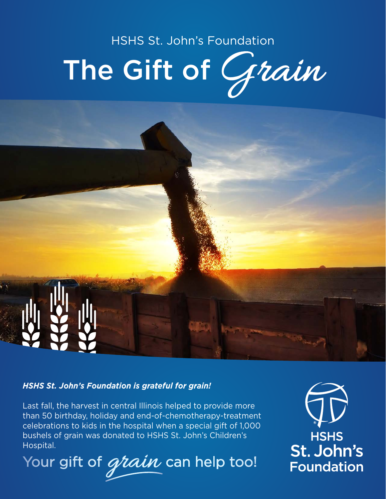# HSHS St. John's Foundation The Gift of Grain

### *HSHS St. John's Foundation is grateful for grain!*

Last fall, the harvest in central Illinois helped to provide more than 50 birthday, holiday and end-of-chemotherapy-treatment celebrations to kids in the hospital when a special gift of 1,000 bushels of grain was donated to HSHS St. John's Children's Hospital.

Your gift of *grain* can help too!

**HSHS** St. John's **Foundation**